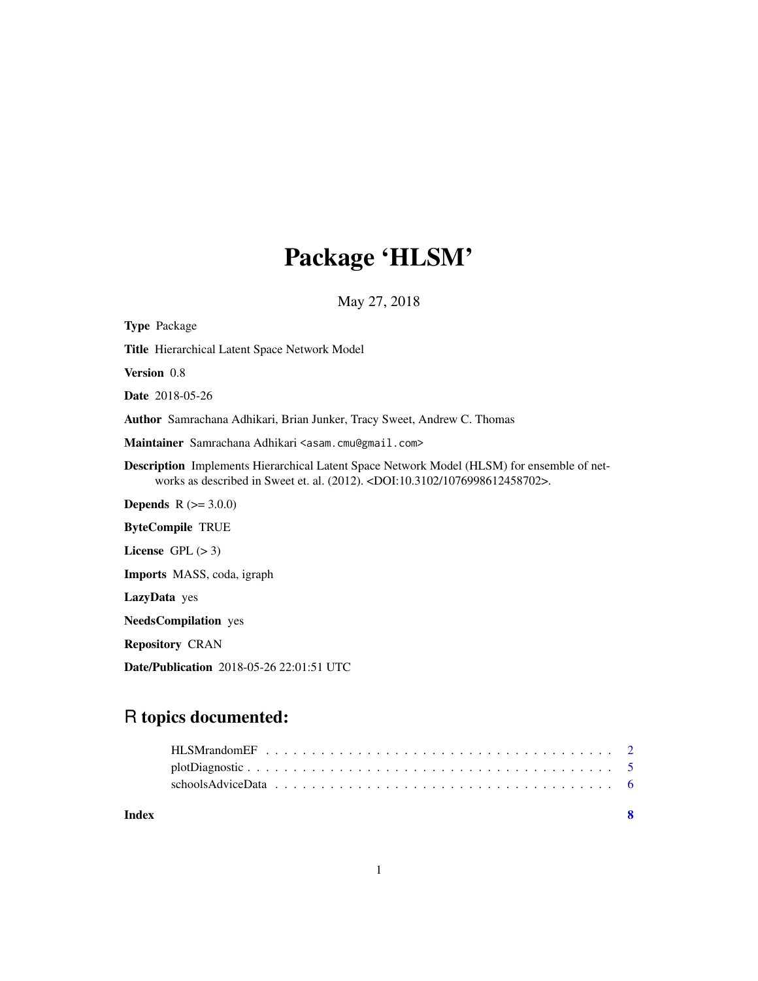# Package 'HLSM'

May 27, 2018

| <b>Type Package</b>                                                                                                                                                               |
|-----------------------------------------------------------------------------------------------------------------------------------------------------------------------------------|
| Title Hierarchical Latent Space Network Model                                                                                                                                     |
| Version 0.8                                                                                                                                                                       |
| <b>Date</b> 2018-05-26                                                                                                                                                            |
| Author Samrachana Adhikari, Brian Junker, Tracy Sweet, Andrew C. Thomas                                                                                                           |
| Maintainer Samrachana Adhikari <asam.cmu@gmail.com></asam.cmu@gmail.com>                                                                                                          |
| <b>Description</b> Implements Hierarchical Latent Space Network Model (HLSM) for ensemble of net-<br>works as described in Sweet et. al. (2012). < DOI:10.3102/1076998612458702>. |
| <b>Depends</b> $R (= 3.0.0)$                                                                                                                                                      |
| <b>ByteCompile TRUE</b>                                                                                                                                                           |
| License $GPL (> 3)$                                                                                                                                                               |
| Imports MASS, coda, igraph                                                                                                                                                        |
| LazyData yes                                                                                                                                                                      |
| <b>NeedsCompilation</b> yes                                                                                                                                                       |
| <b>Repository CRAN</b>                                                                                                                                                            |
| <b>Date/Publication</b> 2018-05-26 22:01:51 UTC                                                                                                                                   |

# R topics documented:

| Index |  |
|-------|--|
|       |  |
|       |  |
|       |  |

1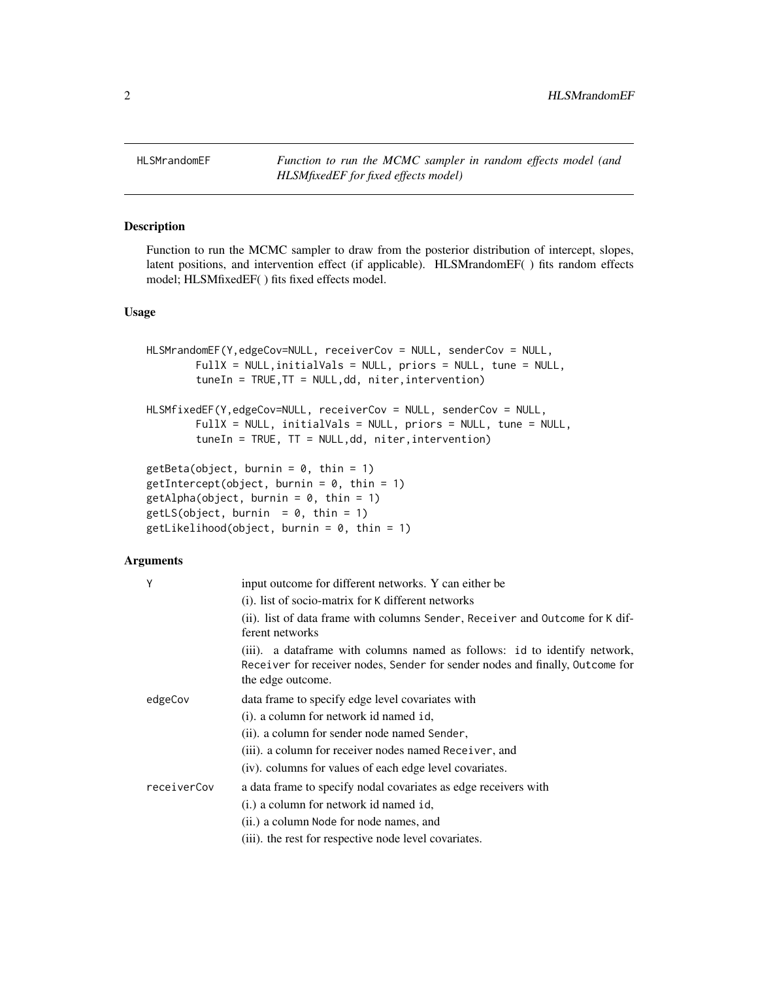<span id="page-1-0"></span>HLSMrandomEF *Function to run the MCMC sampler in random effects model (and HLSMfixedEF for fixed effects model)*

## Description

Function to run the MCMC sampler to draw from the posterior distribution of intercept, slopes, latent positions, and intervention effect (if applicable). HLSMrandomEF( ) fits random effects model; HLSMfixedEF( ) fits fixed effects model.

#### Usage

```
HLSMrandomEF(Y,edgeCov=NULL, receiverCov = NULL, senderCov = NULL,
       FullX = NULL,initialVals = NULL, priors = NULL, tune = NULL,
       tuneIn = TRUE,TT = NULL,dd, niter,intervention)
HLSMfixedEF(Y,edgeCov=NULL, receiverCov = NULL, senderCov = NULL,
       FullX = NULL, initialVals = NULL, priors = NULL, tune = NULL,
       tuneIn = TRUE, TT = NULL,dd, niter,intervention)
getBeta(object, burnin = 0, thin = 1)getIntercept(object, burnin = 0, thin = 1)getAlpha(object, burnin = 0, thin = 1)getLS(object, burnin = 0, thin = 1)getLikelihood(object, burnin = 0, thin = 1)
```
#### Arguments

| Y           | input outcome for different networks. Y can either be                                                                                                                            |
|-------------|----------------------------------------------------------------------------------------------------------------------------------------------------------------------------------|
|             | (i). list of socio-matrix for K different networks                                                                                                                               |
|             | (ii). list of data frame with columns Sender, Receiver and Outcome for K dif-<br>ferent networks                                                                                 |
|             | (iii). a data frame with columns named as follows: id to identify network,<br>Receiver for receiver nodes, Sender for sender nodes and finally, Outcome for<br>the edge outcome. |
| edgeCov     | data frame to specify edge level covariates with                                                                                                                                 |
|             | (i). a column for network id named id,                                                                                                                                           |
|             | (ii). a column for sender node named Sender,                                                                                                                                     |
|             | (iii). a column for receiver nodes named Receiver, and                                                                                                                           |
|             | (iv). columns for values of each edge level covariates.                                                                                                                          |
| receiverCov | a data frame to specify nodal covariates as edge receivers with                                                                                                                  |
|             | (i.) a column for network id named id,                                                                                                                                           |
|             | (ii.) a column Node for node names, and                                                                                                                                          |
|             | (iii). the rest for respective node level covariates.                                                                                                                            |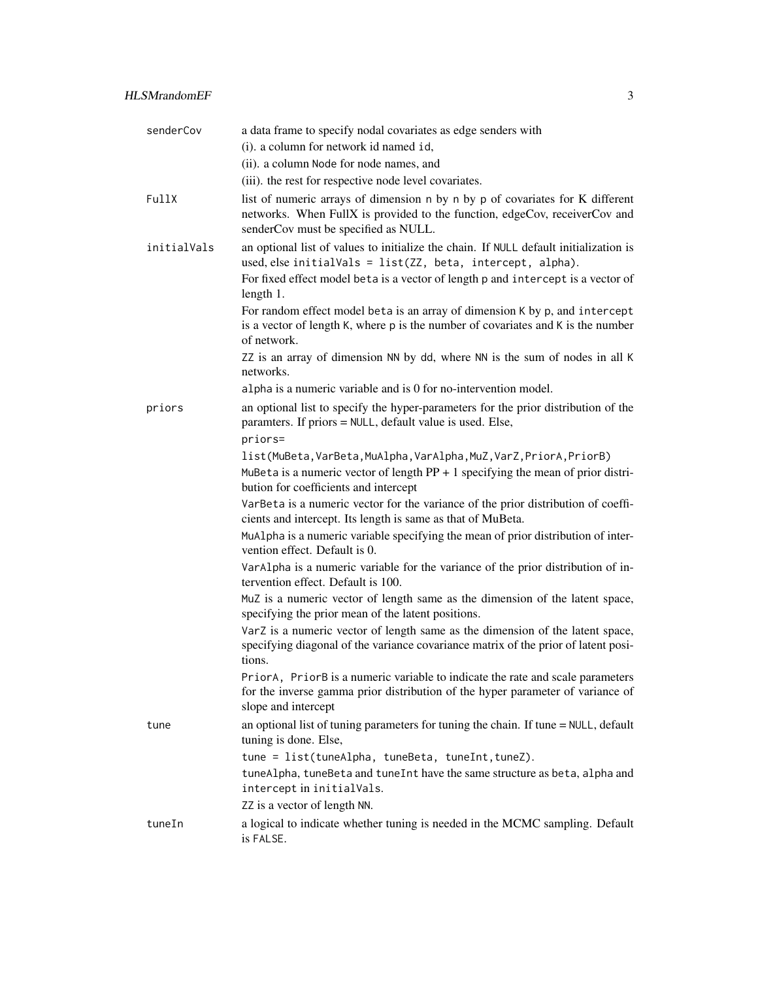| senderCov   | a data frame to specify nodal covariates as edge senders with                                                                                                                                       |
|-------------|-----------------------------------------------------------------------------------------------------------------------------------------------------------------------------------------------------|
|             | (i). a column for network id named id,                                                                                                                                                              |
|             | (ii). a column Node for node names, and                                                                                                                                                             |
|             | (iii). the rest for respective node level covariates.                                                                                                                                               |
| FullX       | list of numeric arrays of dimension n by n by p of covariates for K different<br>networks. When FullX is provided to the function, edgeCov, receiverCov and<br>senderCov must be specified as NULL. |
| initialVals | an optional list of values to initialize the chain. If NULL default initialization is<br>used, else initialVals = list(ZZ, beta, intercept, alpha).                                                 |
|             | For fixed effect model beta is a vector of length p and intercept is a vector of<br>length 1.                                                                                                       |
|             | For random effect model beta is an array of dimension K by p, and intercept<br>is a vector of length K, where p is the number of covariates and K is the number<br>of network.                      |
|             | ZZ is an array of dimension NN by dd, where NN is the sum of nodes in all K<br>networks.                                                                                                            |
|             | alpha is a numeric variable and is 0 for no-intervention model.                                                                                                                                     |
| priors      | an optional list to specify the hyper-parameters for the prior distribution of the<br>paramters. If priors = NULL, default value is used. Else,<br>priors=                                          |
|             | list(MuBeta,VarBeta,MuAlpha,VarAlpha,MuZ,VarZ,PriorA,PriorB)                                                                                                                                        |
|             | MuBeta is a numeric vector of length $PP + 1$ specifying the mean of prior distri-<br>bution for coefficients and intercept                                                                         |
|             | VarBeta is a numeric vector for the variance of the prior distribution of coeffi-<br>cients and intercept. Its length is same as that of MuBeta.                                                    |
|             | MuAlpha is a numeric variable specifying the mean of prior distribution of inter-<br>vention effect. Default is 0.                                                                                  |
|             | VarAlpha is a numeric variable for the variance of the prior distribution of in-<br>tervention effect. Default is 100.                                                                              |
|             | MuZ is a numeric vector of length same as the dimension of the latent space,<br>specifying the prior mean of the latent positions.                                                                  |
|             | VarZ is a numeric vector of length same as the dimension of the latent space,<br>specifying diagonal of the variance covariance matrix of the prior of latent posi-<br>tions.                       |
|             | PriorA, PriorB is a numeric variable to indicate the rate and scale parameters<br>for the inverse gamma prior distribution of the hyper parameter of variance of<br>slope and intercept             |
| tune        | an optional list of tuning parameters for tuning the chain. If tune = NULL, default<br>tuning is done. Else,                                                                                        |
|             | tune = list(tuneAlpha, tuneBeta, tuneInt, tuneZ).                                                                                                                                                   |
|             | tuneAlpha, tuneBeta and tuneInt have the same structure as beta, alpha and<br>intercept in initialVals.                                                                                             |
|             | ZZ is a vector of length NN.                                                                                                                                                                        |
| tuneIn      | a logical to indicate whether tuning is needed in the MCMC sampling. Default<br>is FALSE.                                                                                                           |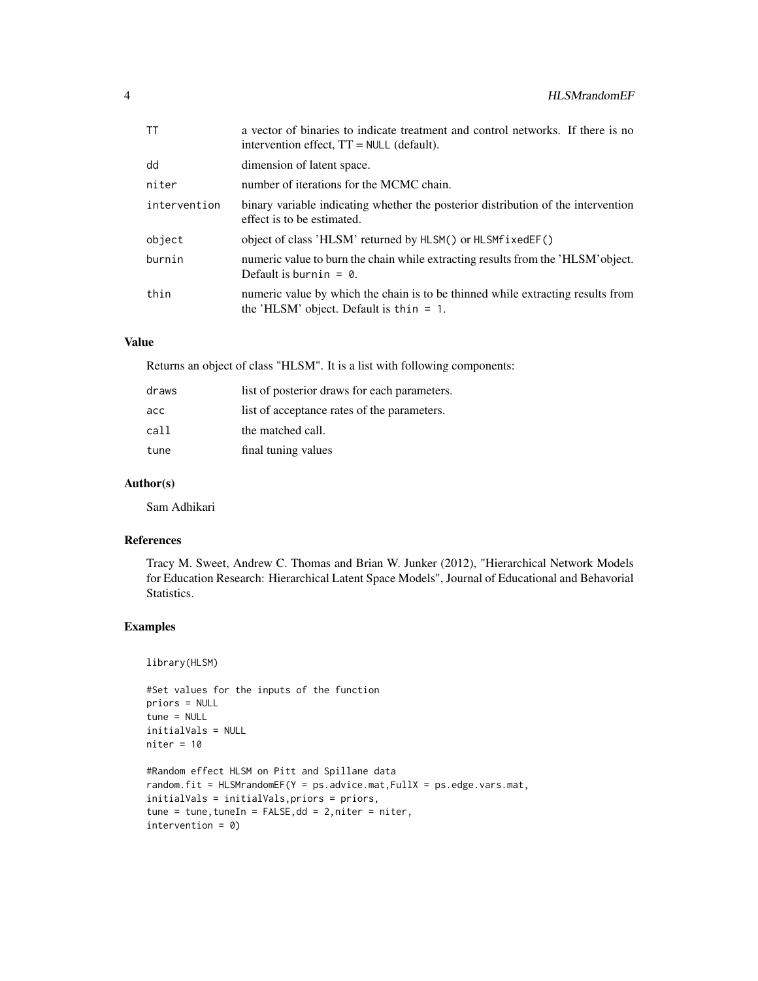| ТT           | a vector of binaries to indicate treatment and control networks. If there is no<br>intervention effect, $TT = NULL$ (default). |
|--------------|--------------------------------------------------------------------------------------------------------------------------------|
| dd           | dimension of latent space.                                                                                                     |
| niter        | number of iterations for the MCMC chain.                                                                                       |
| intervention | binary variable indicating whether the posterior distribution of the intervention<br>effect is to be estimated.                |
| object       | object of class 'HLSM' returned by HLSM() or HLSMf ixedEF()                                                                    |
| burnin       | numeric value to burn the chain while extracting results from the 'HLSM' object.<br>Default is burnin = $\theta$ .             |
| thin         | numeric value by which the chain is to be thinned while extracting results from<br>the 'HLSM' object. Default is thin $= 1$ .  |

### Value

Returns an object of class "HLSM". It is a list with following components:

| draws | list of posterior draws for each parameters. |
|-------|----------------------------------------------|
| асс   | list of acceptance rates of the parameters.  |
| call  | the matched call.                            |
| tune  | final tuning values                          |

#### Author(s)

Sam Adhikari

### References

Tracy M. Sweet, Andrew C. Thomas and Brian W. Junker (2012), "Hierarchical Network Models for Education Research: Hierarchical Latent Space Models", Journal of Educational and Behavorial Statistics.

#### Examples

library(HLSM)

```
#Set values for the inputs of the function
priors = NULL
tune = NULL
initialVals = NULL
niter = 10#Random effect HLSM on Pitt and Spillane data
random.fit = HLSMrandomEF(Y = ps.advice.mat,FullX = ps.edge.vars.mat,
initialVals = initialVals,priors = priors,
tune = tune, tuneIn = FALSE, dd = 2, niter = niter,intervention = 0)
```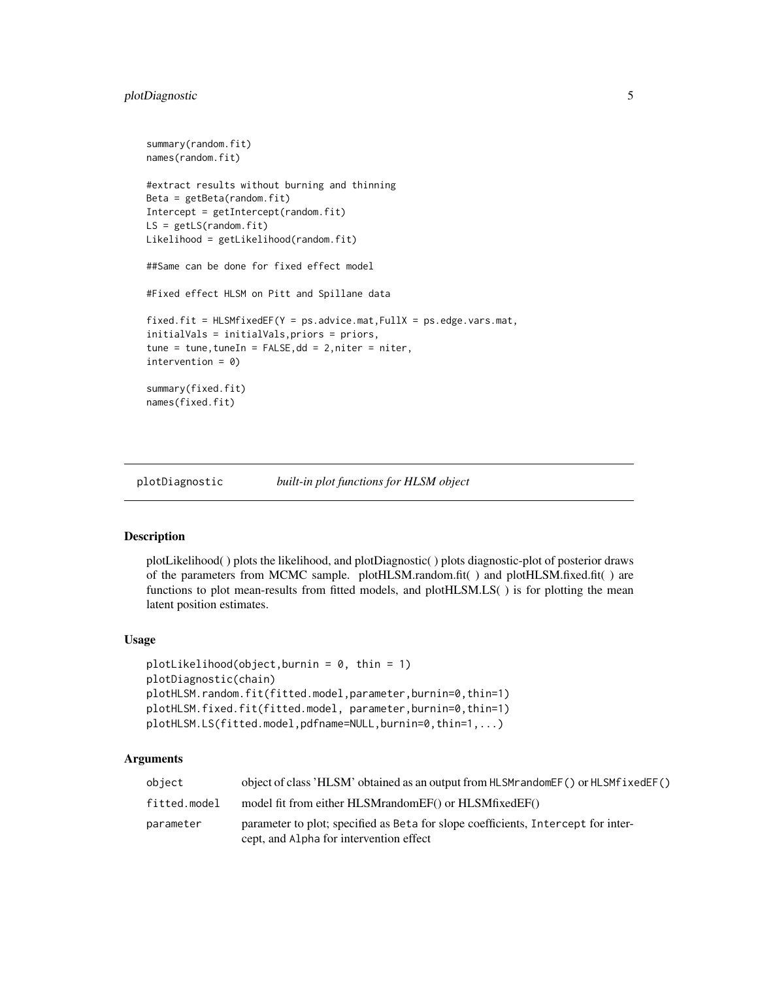```
summary(random.fit)
names(random.fit)
#extract results without burning and thinning
Beta = getBeta(random.fit)
Intercept = getIntercept(random.fit)
LS = getLS(random.fit)Likelihood = getLikelihood(random.fit)
##Same can be done for fixed effect model
#Fixed effect HLSM on Pitt and Spillane data
fixed.fit = HLSMfixedEF(Y = ps.addvice.mat, FullX = ps.edge.vars.mat,initialVals = initialVals,priors = priors,
tune = tune,tuneIn = FALSE,dd = 2,niter = niter,
intervention = 0)
summary(fixed.fit)
names(fixed.fit)
```
plotDiagnostic *built-in plot functions for HLSM object*

#### Description

plotLikelihood( ) plots the likelihood, and plotDiagnostic( ) plots diagnostic-plot of posterior draws of the parameters from MCMC sample. plotHLSM.random.fit( ) and plotHLSM.fixed.fit( ) are functions to plot mean-results from fitted models, and plotHLSM.LS( ) is for plotting the mean latent position estimates.

## Usage

```
plotLikelibood(object,burnin = 0, thin = 1)plotDiagnostic(chain)
plotHLSM.random.fit(fitted.model,parameter,burnin=0,thin=1)
plotHLSM.fixed.fit(fitted.model, parameter,burnin=0,thin=1)
plotHLSM.LS(fitted.model,pdfname=NULL,burnin=0,thin=1,...)
```
#### Arguments

| object       | object of class 'HLSM' obtained as an output from HLSM random EF() or HLSM fixed EF()                                        |
|--------------|------------------------------------------------------------------------------------------------------------------------------|
| fitted.model | model fit from either HLSMrandomEF() or HLSMfixedEF()                                                                        |
| parameter    | parameter to plot; specified as Beta for slope coefficients, Intercept for inter-<br>cept, and Alpha for intervention effect |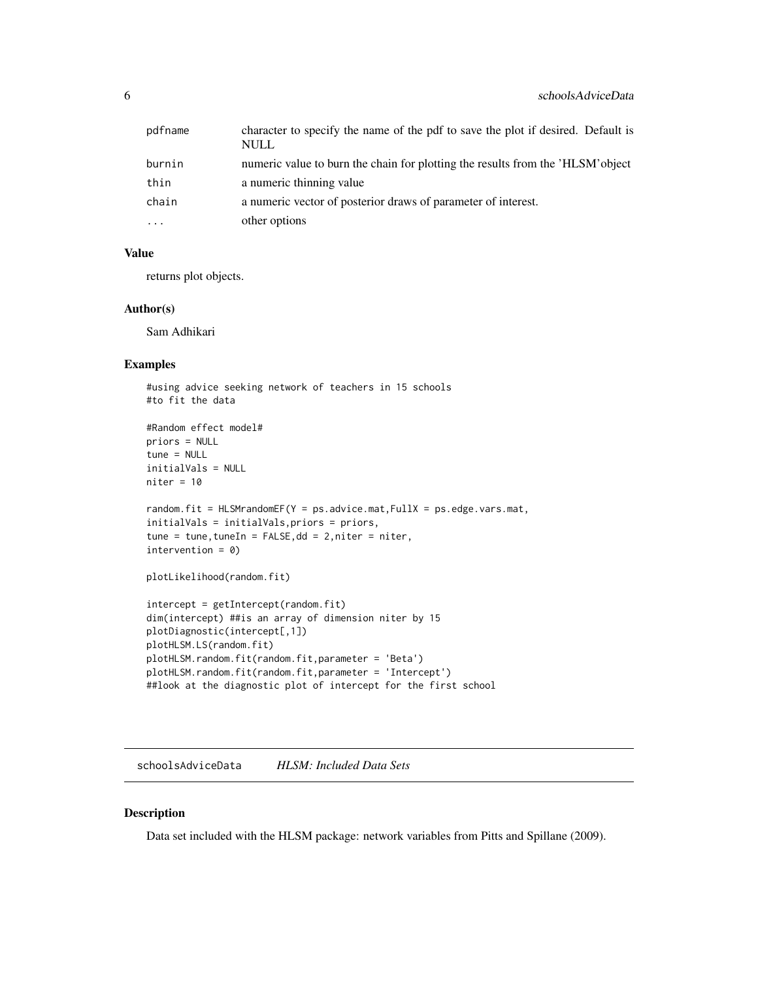<span id="page-5-0"></span>

| pdfname   | character to specify the name of the pdf to save the plot if desired. Default is<br><b>NULL</b> |
|-----------|-------------------------------------------------------------------------------------------------|
| burnin    | numeric value to burn the chain for plotting the results from the 'HLSM' object                 |
| thin      | a numeric thinning value                                                                        |
| chain     | a numeric vector of posterior draws of parameter of interest.                                   |
| $\ddotsc$ | other options                                                                                   |

#### Value

returns plot objects.

#### Author(s)

Sam Adhikari

#### Examples

```
#using advice seeking network of teachers in 15 schools
#to fit the data
#Random effect model#
priors = NULL
tune = NULL
initialVals = NULL
niter = 10
random.fit = HLSMrandomEF(Y = ps.advice.mat,FullX = ps.edge.vars.mat,
initialVals = initialVals,priors = priors,
tune = tune, tuneIn = FALSE, dd = 2, niter = niter,intervention = 0)
plotLikelihood(random.fit)
intercept = getIntercept(random.fit)
dim(intercept) ##is an array of dimension niter by 15
plotDiagnostic(intercept[,1])
plotHLSM.LS(random.fit)
plotHLSM.random.fit(random.fit,parameter = 'Beta')
plotHLSM.random.fit(random.fit,parameter = 'Intercept')
##look at the diagnostic plot of intercept for the first school
```
schoolsAdviceData *HLSM: Included Data Sets*

#### Description

Data set included with the HLSM package: network variables from Pitts and Spillane (2009).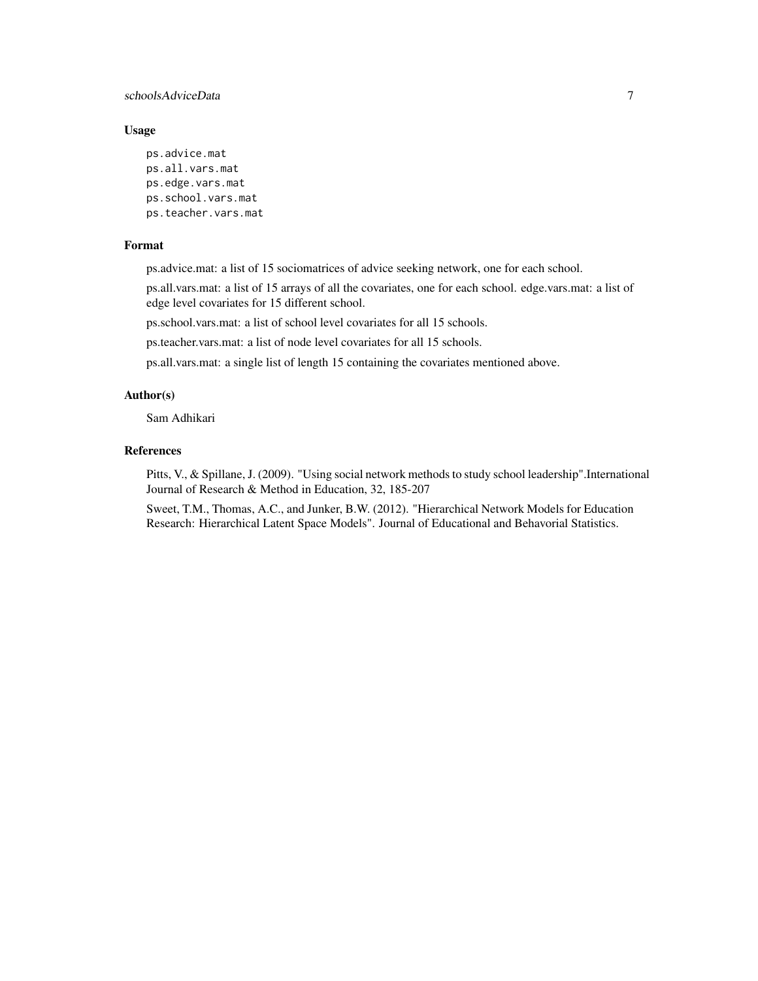### schoolsAdviceData 7

#### Usage

ps.advice.mat ps.all.vars.mat ps.edge.vars.mat ps.school.vars.mat ps.teacher.vars.mat

#### Format

ps.advice.mat: a list of 15 sociomatrices of advice seeking network, one for each school.

ps.all.vars.mat: a list of 15 arrays of all the covariates, one for each school. edge.vars.mat: a list of edge level covariates for 15 different school.

ps.school.vars.mat: a list of school level covariates for all 15 schools.

ps.teacher.vars.mat: a list of node level covariates for all 15 schools.

ps.all.vars.mat: a single list of length 15 containing the covariates mentioned above.

#### Author(s)

Sam Adhikari

#### References

Pitts, V., & Spillane, J. (2009). "Using social network methods to study school leadership".International Journal of Research & Method in Education, 32, 185-207

Sweet, T.M., Thomas, A.C., and Junker, B.W. (2012). "Hierarchical Network Models for Education Research: Hierarchical Latent Space Models". Journal of Educational and Behavorial Statistics.